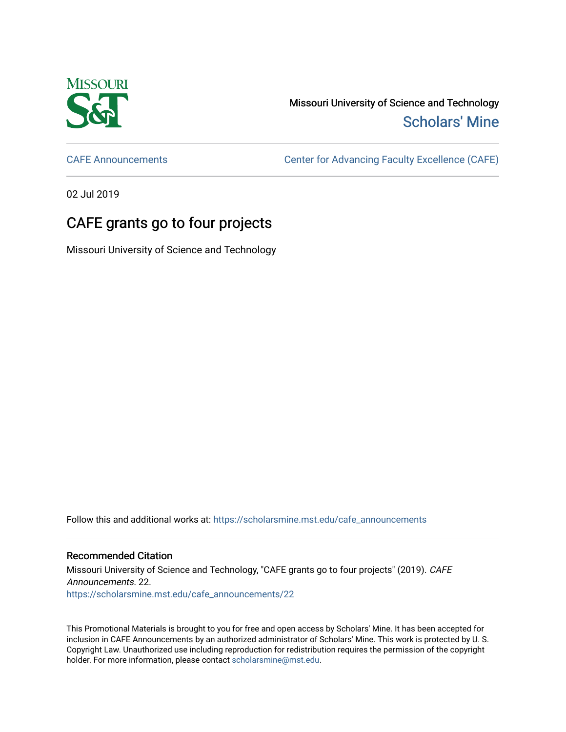

Missouri University of Science and Technology [Scholars' Mine](https://scholarsmine.mst.edu/) 

[CAFE Announcements](https://scholarsmine.mst.edu/cafe_announcements) [Center for Advancing Faculty Excellence \(CAFE\)](https://scholarsmine.mst.edu/cafe) 

02 Jul 2019

## CAFE grants go to four projects

Missouri University of Science and Technology

Follow this and additional works at: [https://scholarsmine.mst.edu/cafe\\_announcements](https://scholarsmine.mst.edu/cafe_announcements?utm_source=scholarsmine.mst.edu%2Fcafe_announcements%2F22&utm_medium=PDF&utm_campaign=PDFCoverPages) 

## Recommended Citation

Missouri University of Science and Technology, "CAFE grants go to four projects" (2019). CAFE Announcements. 22. [https://scholarsmine.mst.edu/cafe\\_announcements/22](https://scholarsmine.mst.edu/cafe_announcements/22?utm_source=scholarsmine.mst.edu%2Fcafe_announcements%2F22&utm_medium=PDF&utm_campaign=PDFCoverPages)

This Promotional Materials is brought to you for free and open access by Scholars' Mine. It has been accepted for inclusion in CAFE Announcements by an authorized administrator of Scholars' Mine. This work is protected by U. S. Copyright Law. Unauthorized use including reproduction for redistribution requires the permission of the copyright holder. For more information, please contact [scholarsmine@mst.edu.](mailto:scholarsmine@mst.edu)